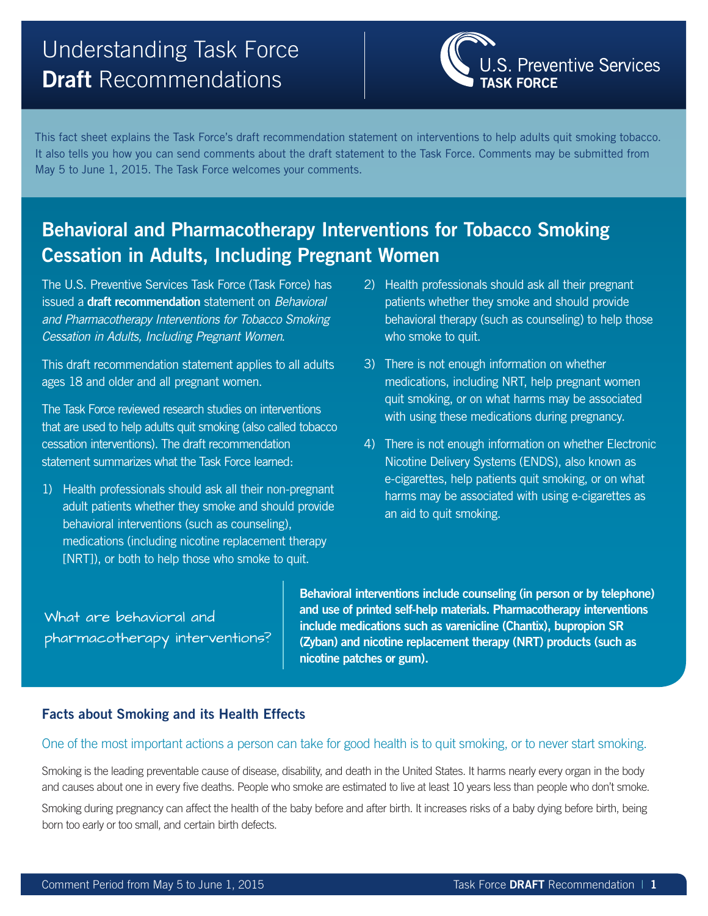# Understanding Task Force **Draft** Recommendations



This fact sheet explains the Task Force's draft recommendation statement on interventions to help adults quit smoking tobacco. It also tells you how you can send comments about the draft statement to the Task Force. Comments may be submitted from May 5 to June 1, 2015. The Task Force welcomes your comments.

# **Behavioral and Pharmacotherapy Interventions for Tobacco Smoking Cessation in Adults, Including Pregnant Women**

The U.S. Preventive Services Task Force (Task Force) has issued a **draft recommendation** statement on *Behavioral and Pharmacotherapy Interventions for Tobacco Smoking Cessation in Adults, Including Pregnant Women*.

This draft recommendation statement applies to all adults ages 18 and older and all pregnant women.

The Task Force reviewed research studies on interventions that are used to help adults quit smoking (also called tobacco cessation interventions). The draft recommendation statement summarizes what the Task Force learned:

1) Health professionals should ask all their non-pregnant adult patients whether they smoke and should provide behavioral interventions (such as counseling), medications (including nicotine replacement therapy [NRT]), or both to help those who smoke to quit.

- 2) Health professionals should ask all their pregnant patients whether they smoke and should provide behavioral therapy (such as counseling) to help those who smoke to quit.
- 3) There is not enough information on whether medications, including NRT, help pregnant women quit smoking, or on what harms may be associated with using these medications during pregnancy.
- 4) There is not enough information on whether Electronic Nicotine Delivery Systems (ENDS), also known as e-cigarettes, help patients quit smoking, or on what harms may be associated with using e-cigarettes as an aid to quit smoking.

What are behavioral and pharmacotherapy interventions? **Behavioral interventions include counseling (in person or by telephone) and use of printed self-help materials. Pharmacotherapy interventions include medications such as varenicline (Chantix), bupropion SR (Zyban) and nicotine replacement therapy (NRT) products (such as nicotine patches or gum).** 

### **Facts about Smoking and its Health Effects**

#### One of the most important actions a person can take for good health is to quit smoking, or to never start smoking.

Smoking is the leading preventable cause of disease, disability, and death in the United States. It harms nearly every organ in the body and causes about one in every five deaths. People who smoke are estimated to live at least 10 years less than people who don't smoke.

Smoking during pregnancy can affect the health of the baby before and after birth. It increases risks of a baby dying before birth, being born too early or too small, and certain birth defects.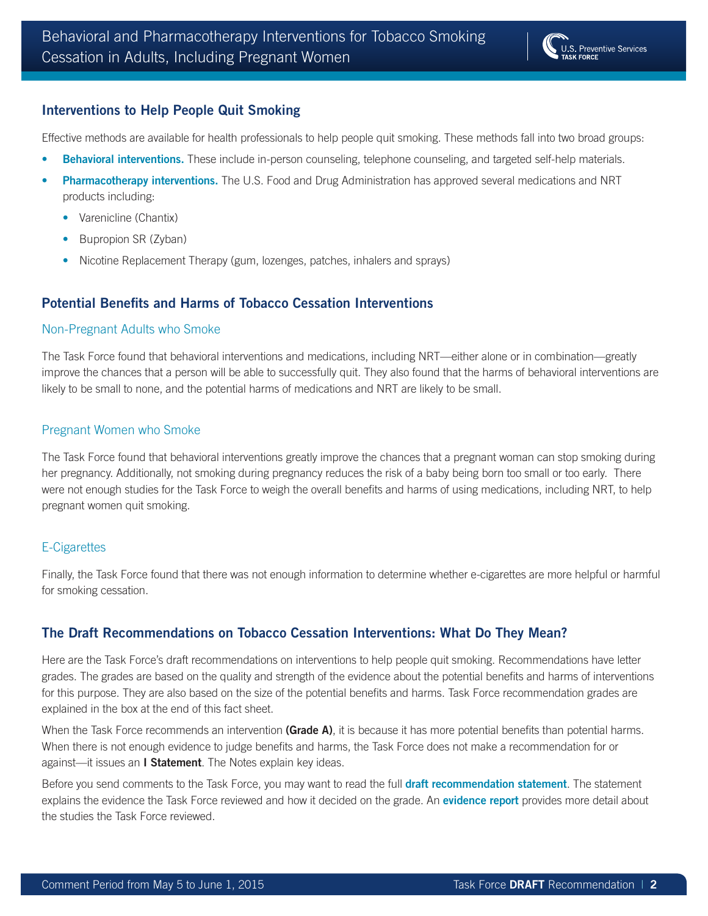### **Interventions to Help People Quit Smoking**

Effective methods are available for health professionals to help people quit smoking. These methods fall into two broad groups:

- **Behavioral interventions.** These include in-person counseling, telephone counseling, and targeted self-help materials.
- **Pharmacotherapy interventions.** The U.S. Food and Drug Administration has approved several medications and NRT products including:
	- Varenicline (Chantix)
	- Bupropion SR (Zyban)
	- Nicotine Replacement Therapy (gum, lozenges, patches, inhalers and sprays)

#### **Potential Benefits and Harms of Tobacco Cessation Interventions**

#### Non-Pregnant Adults who Smoke

The Task Force found that behavioral interventions and medications, including NRT—either alone or in combination—greatly improve the chances that a person will be able to successfully quit. They also found that the harms of behavioral interventions are likely to be small to none, and the potential harms of medications and NRT are likely to be small.

#### Pregnant Women who Smoke

The Task Force found that behavioral interventions greatly improve the chances that a pregnant woman can stop smoking during her pregnancy. Additionally, not smoking during pregnancy reduces the risk of a baby being born too small or too early. There were not enough studies for the Task Force to weigh the overall benefits and harms of using medications, including NRT, to help pregnant women quit smoking.

#### E-Cigarettes

Finally, the Task Force found that there was not enough information to determine whether e-cigarettes are more helpful or harmful for smoking cessation.

#### **The Draft Recommendations on Tobacco Cessation Interventions: What Do They Mean?**

Here are the Task Force's draft recommendations on interventions to help people quit smoking. Recommendations have letter grades. The grades are based on the quality and strength of the evidence about the potential benefits and harms of interventions for this purpose. They are also based on the size of the potential benefits and harms. Task Force recommendation grades are explained in the box at the end of this fact sheet.

When the Task Force recommends an intervention **(Grade A)**, it is because it has more potential benefits than potential harms. When there is not enough evidence to judge benefits and harms, the Task Force does not make a recommendation for or against—it issues an **I Statement**. The Notes explain key ideas.

Before you send comments to the Task Force, you may want to read the full **[draft recommendation statement](http://www.uspreventiveservicestaskforce.org/Page/Document/UpdateSummaryDraft/tobacco-use-in-adults-and-pregnant-women-counseling-and-interventions1?ds=1&s=tobacco)**. The statement explains the evidence the Task Force reviewed and how it decided on the grade. An **[evidence report](http://www.uspreventiveservicestaskforce.org/Page/Document/UpdateSummaryDraft/tobacco-use-in-adults-and-pregnant-women-counseling-and-interventions1?ds=1&s=tobacco)** provides more detail about the studies the Task Force reviewed.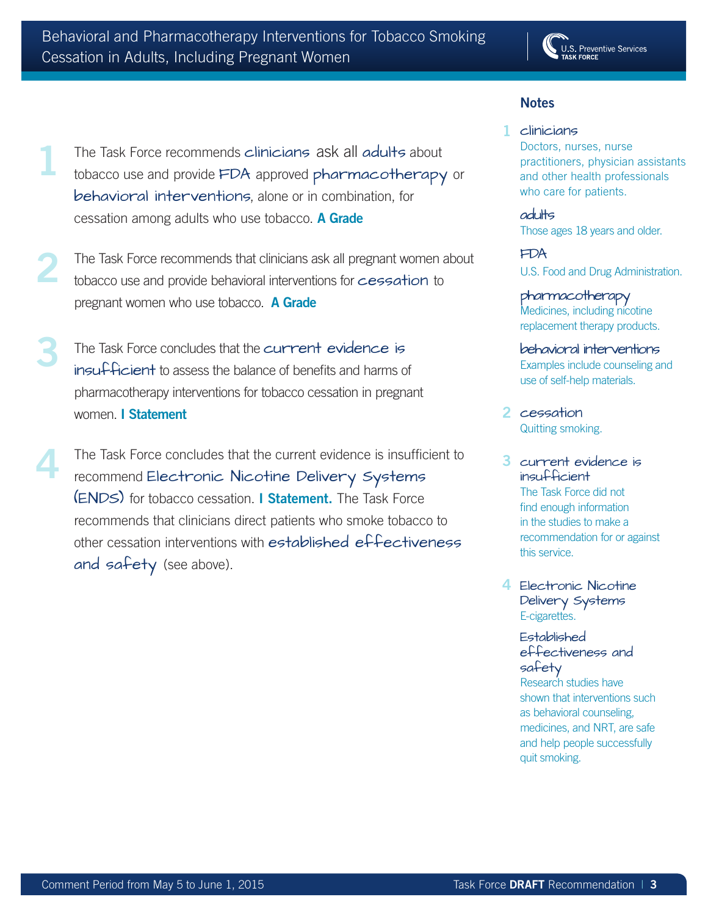

# **Notes**

# The Task Force recommends clinicians ask all adults about tobacco use and provide FDA approved pharmacotherapy or behavioral interventions, alone or in combination, for cessation among adults who use tobacco. **A Grade 1**

- The Task Force recommends that clinicians ask all pregnant women about tobacco use and provide behavioral interventions for cessation to pregnant women who use tobacco. **A Grade 2**
- **3** The Task Force concludes that the current evidence is insufficient to assess the balance of benefits and harms of pharmacotherapy interventions for tobacco cessation in pregnant women. **I Statement**
- The Task Force concludes that the current evidence is insufficient to recommend Electronic Nicotine Delivery Systems (ENDS) for tobacco cessation. **I Statement.** The Task Force recommends that clinicians direct patients who smoke tobacco to other cessation interventions with established effectiveness and safety (see above). **4**

#### 1 clinicians Doctors, nurses, nurse practitioners, physician assistants and other health professionals who care for patients.

adults Those ages 18 years and older.

FDA U.S. Food and Drug Administration.

pharmacotherapy Medicines, including nicotine replacement therapy products.

behavioral interventions Examples include counseling and use of self-help materials.

- 2 cessation Quitting smoking.
- 3 current evidence is insufficient The Task Force did not find enough information in the studies to make a recommendation for or against this service.
- 4 Electronic Nicotine Delivery Systems E-cigarettes.

#### **Established** effectiveness and safety

Research studies have shown that interventions such as behavioral counseling, medicines, and NRT, are safe and help people successfully quit smoking.